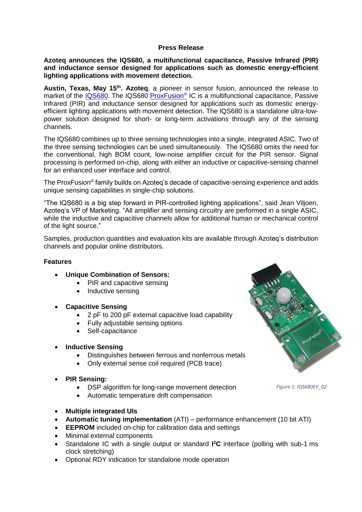### **Press Release**

### **Azoteq announces the IQS680, a multifunctional capacitance, Passive Infrared (PIR) and inductance sensor designed for applications such as domestic energy-efficient lighting applications with movement detection.**

**Austin, Texas, May 15th . Azoteq**, a pioneer in sensor fusion, announced the release to market of the [IQS680.](http://www.azoteq.com/products/proxfusion/iqs680) The IQS680 [ProxFusion](http://www.azoteq.com/products/proxfusion.html)<sup>®</sup> IC is a multifunctional capacitance, Passive Infrared (PIR) and inductance sensor designed for applications such as domestic energyefficient lighting applications with movement detection. The IQS680 is a standalone ultra-lowpower solution designed for short- or long-term activations through any of the sensing channels.

The IQS680 combines up to three sensing technologies into a single, integrated ASIC. Two of the three sensing technologies can be used simultaneously. The IQS680 omits the need for the conventional, high BOM count, low-noise amplifier circuit for the PIR sensor. Signal processing is performed on-chip, along with either an inductive or capacitive-sensing channel for an enhanced user interface and control.

The ProxFusion® family builds on Azoteq's decade of capacitive-sensing experience and adds unique sensing capabilities in single-chip solutions.

"The IQS680 is a big step forward in PIR-controlled lighting applications", said Jean Viljoen, Azoteq's VP of Marketing. "All amplifier and sensing circuitry are performed in a single ASIC, while the inductive and capacitive channels allow for additional human or mechanical control of the light source."

Samples, production quantities and evaluation kits are available through Azoteq's distribution channels and popular online distributors.

# **Features**

- **Unique Combination of Sensors:** 
	- PIR and capacitive sensing
	- Inductive sensing
- **Capacitive Sensing**
	- 2 pF to 200 pF external capacitive load capability
	- Fully adjustable sensing options
	- Self-capacitance
- **Inductive Sensing**
	- Distinguishes between ferrous and nonferrous metals
	- Only external sense coil required (PCB trace)
- **PIR Sensing:**
	- DSP algorithm for long-range movement detection
	- Automatic temperature drift compensation
- **Multiple integrated UIs**
- **Automatic tuning implementation** (ATI) performance enhancement (10 bit ATI)
- **EEPROM** included on-chip for calibration data and settings
- Minimal external components
- Standalone IC with a single output or standard I<sup>2</sup>C interface (polling with sub-1 ms clock stretching)
- Optional RDY indication for standalone mode operation



*Figure 1: IQS680EV\_02*